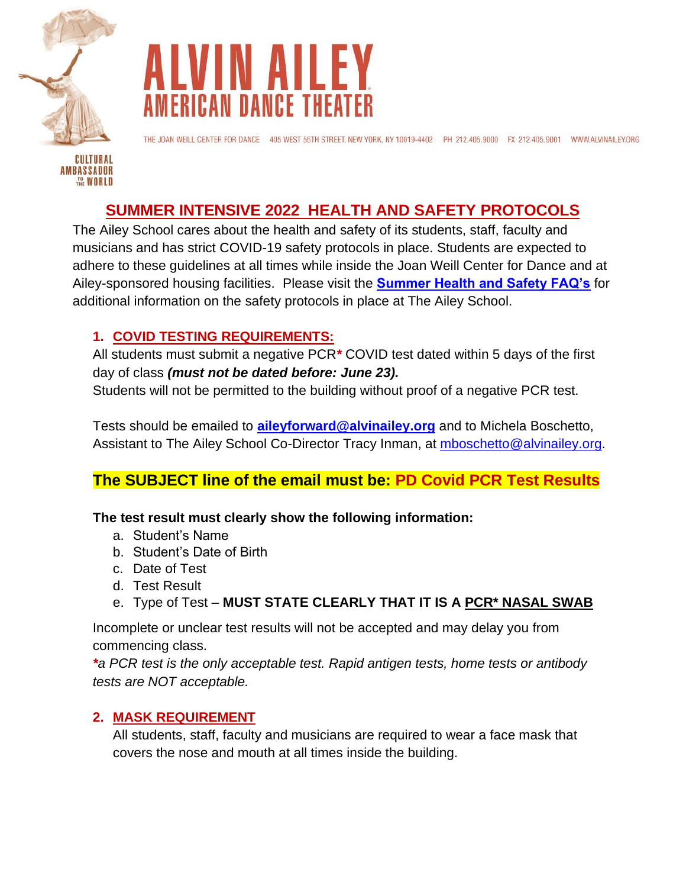



THE JOAN WEILL CENTER FOR DANCE 405 WEST 55TH STREET, NEW YORK, NY 10019-4402 PH 212.405.9000 FX 212.405.9001 WWW.ALVINAILEY.ORG

# **SUMMER INTENSIVE 2022 HEALTH AND SAFETY PROTOCOLS**

The Ailey School cares about the health and safety of its students, staff, faculty and musicians and has strict COVID-19 safety protocols in place. Students are expected to adhere to these guidelines at all times while inside the Joan Weill Center for Dance and at Ailey-sponsored housing facilities. Please visit the **[Summer Health and Safety FAQ's](https://www.alvinailey.org/school/programs/summer-intensive/summer-intensive-ages-16-25/faqs)** for additional information on the safety protocols in place at The Ailey School.

# **1. COVID TESTING REQUIREMENTS:**

All students must submit a negative PCR*\** COVID test dated within 5 days of the first day of class *(must not be dated before: June 23).*

Students will not be permitted to the building without proof of a negative PCR test.

Tests should be emailed to **[aileyforward@alvinailey.org](mailto:aileyforward@alvinailey.org)** and to Michela Boschetto, Assistant to The Ailey School Co-Director Tracy Inman, at [mboschetto@alvinailey.org.](mailto:mboschetto@alvinailey.org)

# **The SUBJECT line of the email must be: PD Covid PCR Test Results**

#### **The test result must clearly show the following information:**

- a. Student's Name
- b. Student's Date of Birth
- c. Date of Test
- d. Test Result
- e. Type of Test **MUST STATE CLEARLY THAT IT IS A PCR\* NASAL SWAB**

Incomplete or unclear test results will not be accepted and may delay you from commencing class.

*\*a PCR test is the only acceptable test. Rapid antigen tests, home tests or antibody tests are NOT acceptable.*

### **2. MASK REQUIREMENT**

All students, staff, faculty and musicians are required to wear a face mask that covers the nose and mouth at all times inside the building.